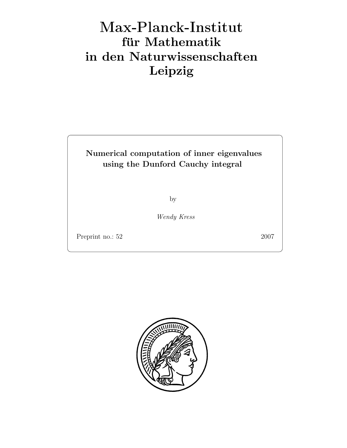# Max-Plan
k-Institut für Mathematik in den Naturwissenschaften Leipzig

## Numerical computation of inner eigenvalues using the Dunford Cauchy integral

by

Wendy Kress

Preprint no.: 52 2007

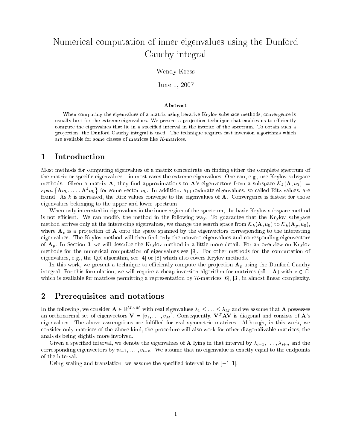# Numerical computation of inner eigenvalues using the Dunford  $\sim$  couplet in the set of  $\sim$

#### Wendy Kress

June 1, <sup>2007</sup>

#### Abstract

When computing the eigenvalues of <sup>a</sup> matrix using iterative Krylov subspace methods, convergence is usually best for the extreme eigenvalues. We present <sup>a</sup> pro jection technique that enables us to eciently compute the eigenvalues that lie in <sup>a</sup> specied interval in the interior of the spectrum. To obtain such <sup>a</sup> pro jection, the Dunford Cauchy integral is used. The technique requires fast inversion algorithms which are available for some classes of matrices like H-matrices.

#### <sup>1</sup> Introduction

Most methods for computing eigenvalues of a matrix concentrate on finding either the complete spectrum of the matrix or specific eigenvalues  $-$  in most cases the extreme eigenvalues. One can, e.g., use Krylov subspace methods. Given a matrix **A**, they find approximations to **A**'s eigenvectors from a subspace  $\mathcal{K}_k(\mathbf{A}, u_0) :=$  $span\left\{ \mathbf{A}u_{0},\ldots,\mathbf{A}^{k}u_{0}\right\}$  $\sim$ for some vector u0. In addition, approximate eigenvalues, so called Ritz values, are found. As k is increased, the Ritz values converge to the eigenvalues of  $A$ . Convergence is fastest for those eigenvalues belonging to the upper and lower spectrum.

When only interested in eigenvalues in the inner region of the spectrum, the basic Krylov subspace method is not efficient. We can modify the method in the following way. To guarantee that the Krylov subspace method arrives only at the interesting eigenvalues, we change the search space from  $\mathcal{K}_k(\mathbf{A}, u_0)$  to  $\mathcal{K}_k(\mathbf{A}_p, u_0)$ , where  $A_p$  is a projection of A onto the space spanned by the eigenvectors corresponding to the interesting eigenvalues. The Krylov method will then find only the nonzero eigenvalues and corresponding eigenvectors of  $\mathbf{A}_p$ . In Section 3, we will describe the Krylov method in a little more detail. For an overview on Krylov methods for the numerical computation of eigenvalues see [9]. For other methods for the computation of eigenvalues, e.g., the QR algorithm, see [4] or [8] which also covers Krylov methods.

In this work, we present a technique to efficiently compute the projection  $A_p$  using the Dunford Cauchy integral. For this formulation, we will require a cheap inversion algorithm for matrices  $(zI - A)$  with  $z \in \mathbb{C}$ , which is available for matrices permitting a representation by  $H$ -matrices [6], [3], in almost linear complexity.

#### <sup>2</sup> Prerequisites and notations

In the following, we consider  $\mathbf{A} \in \mathbb{R}^{M \times M}$  with real eigenvalues  $\lambda_1 \leq \ldots \leq \lambda_M$  and we assume that  $\mathbf{A}$  possesses an orthonormal set of eigenvectors  $V = [v_1, \ldots, v_M]$ . Consequently,  $V^T A V$  is diagonal and consists of  $A$ 's eigenvalues. The above assumptions are fullled for real symmetric matrices. Although, in this work, we consider only matrices of the above kind, the procedure will also work for other diagonalizable matrices, the analysis being slightly more involved.

Given a specified interval, we denote the eigenvalues of **A** lying in that interval by  $\lambda_{i+1}, \ldots, \lambda_{i+n}$  and the corresponding eigenvectors by  $v_{i+1}, \ldots, v_{i+n}$ . We assume that no eigenvalue is exactly equal to the endpoints of the interval.

Using scaling and translation, we assume the specified interval to be  $[-1, 1]$ .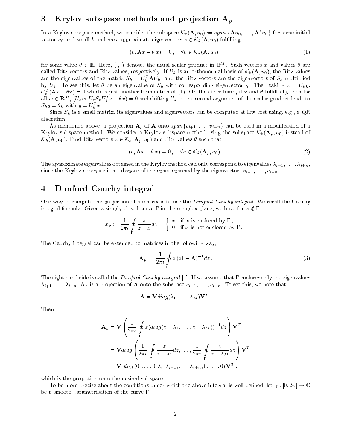### 3 Krylov subspace methods and projection  $A_p$

In a Krylov subspace method, we consider the subspace  $\mathcal{K}_k(\mathbf{A}, u_0) := span \{ \mathbf{A} u_0, \ldots, \mathbf{A}^k u_0 \}$  $\sim$ vector  $u_0$  and small k and seek approximate eigenvectors  $x \in \mathcal{K}_k(\mathbf{A}, u_0)$  fulfilling

$$
(v, \mathbf{A}x - \theta x) = 0, \quad \forall v \in \mathcal{K}_k(\mathbf{A}, u_0), \tag{1}
$$

for some value  $\theta \in \mathbb{R}$ . Here,  $(\cdot, \cdot)$  denotes the usual scalar product in  $\mathbb{R}^M$ . Such vectors x and values  $\theta$  are called Ritz vectors and Ritz values, respectively. If  $U_k$  is an orthonormal basis of  $\mathcal{K}_k(\mathbf{A}, u_0)$ , the Ritz values are the eigenvalues of the matrix  $S_k = U_k^T A U_k$ , and the Ritz vectors are the eigenvectors of  $S_k$  multiplied by  $U_k$ . To see this, let  $\theta$  be an eigenvalue of  $S_k$  with corresponding eigenvector y. Then taking  $x = U_k y$ ,  $U_k^T(\mathbf{A}x-\theta x)=0$  which is just another formulation of (1). On the other hand, if x and  $\theta$  fulfill (1), then for all  $w \in \mathbf{R}^M$ ,  $(U_k w, U_k S_k U_k^T x - \theta x) = 0$  and shifting  $U_k$  to the second argument of the scalar product leads to  $S_k y = \sigma y$  with  $y = \overline{U_k} x$ .

Since  $S_k$  is a small matrix, its eigenvalues and eigenvectors can be computed at low cost using, e.g., a QR algorithm.

As mentioned above, a projection  $\mathbf{A}_p$  of  $\mathbf{A}$  onto span $\{v_{i+1},\ldots,v_{i+n}\}$  can be used in a modification of a Krylov subspace method. We consider a Krylov subspace method using the subspace  $\mathcal{K}_k(\mathbf{A}_p, u_0)$  instead of  $\mathcal{K}_k(\mathbf{A}, u_0)$ : Find Ritz vectors  $x \in \mathcal{K}_k(\mathbf{A}_p, u_0)$  and Ritz values  $\theta$  such that

$$
(v, \mathbf{A}x - \theta x) = 0, \quad \forall v \in \mathcal{K}_k(\mathbf{A}_p, u_0).
$$
 (2)

The approximate eigenvalues obtained in the Krylov method can only correspond to eigenvalues  $\lambda_{i+1}, \ldots, \lambda_{i+n}$ , since the Krylov subspace is a subspace of the space spanned by the eigenvectors  $v_{i+1}, \ldots, v_{i+n}$ .

#### 4 Dunford Cauchy integral

One way to compute the projection of a matrix is to use the *Dunford Cauchy integral*. We recall the Cauchy integral formula: Given a simply closed curve  $\Gamma$  in the complex plane, we have for  $x \notin \Gamma$ 

$$
x_p := \frac{1}{2\pi i} \oint\limits_{\Gamma} \frac{z}{z-x} dz = \begin{cases} x & \text{if } x \text{ is enclosed by } \Gamma \,, \\ 0 & \text{if } x \text{ is not enclosed by } \Gamma \,. \end{cases}
$$

The Cauchy integral can be extended to matrices in the following way,

$$
\mathbf{A}_p := \frac{1}{2\pi i} \oint\limits_{\Gamma} z \left( z \mathbf{I} - \mathbf{A} \right)^{-1} dz \,. \tag{3}
$$

The right hand side is called the Dunford Cauchy integral [1]. If we assume that  $\Gamma$  encloses only the eigenvalues  $i\lambda_{i+1}, \ldots, i\lambda_{i+n}$ ,  $\mathbf{A}_p$  is a projection of **A** onto the subspace  $v_{i+1}, \ldots, v_{i+n}$ . To see this, we note that

$$
\mathbf{A} = \mathbf{V} diag(\lambda_1, \ldots, \lambda_M) \mathbf{V}^T
$$

Then

$$
\mathbf{A}_p = \mathbf{V} \left( \frac{1}{2\pi i} \oint_{\Gamma} z (diag(z - \lambda_1, \dots, z - \lambda_M))^{-1} dz \right) \mathbf{V}^T
$$
  
=  $\mathbf{V} diag \left( \frac{1}{2\pi i} \oint_{\Gamma} \frac{z}{z - \lambda_1} dz, \dots, \frac{1}{2\pi i} \oint_{\Gamma} \frac{z}{z - \lambda_M} dz \right) \mathbf{V}^T$   
=  $\mathbf{V} diag (0, \dots, 0, \lambda_i, \lambda_{i+1}, \dots, \lambda_{i+n}, 0, \dots, 0) \mathbf{V}^T,$ 

which is the projection onto the desired subspace.

To be more precise about the conditions under which the above integral is well defined, let  $\gamma : [0, 2\pi] \to \mathbb{C}$ be a smooth parametrisation of the curve  $\Gamma$ .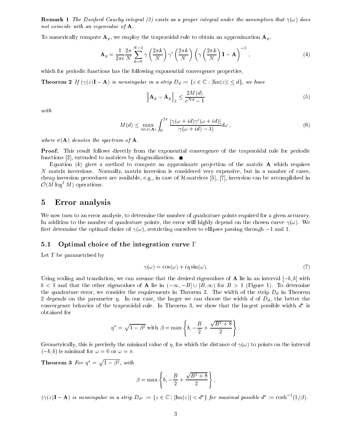**Remark 1** The Dunford Cauchy integral (3) exists as a proper integral under the assumption that  $\gamma(\omega)$  does not coincide with an eigenvalue of **A**.

To numerically compute  $\mathbf{A}_n$ , we employ the trapezoidal rule to obtain an approximation  $\mathbf{A}_n$ ,

$$
\tilde{\mathbf{A}}_p = \frac{1}{2\pi i} \frac{2\pi}{N} \sum_{k=0}^{N-1} \gamma \left(\frac{2\pi k}{N}\right) \gamma' \left(\frac{2\pi k}{N}\right) \left(\gamma \left(\frac{2\pi k}{N}\right) \mathbf{I} - \mathbf{A}\right)^{-1},\tag{4}
$$

which for periodic functions has the following exponential convergence properties, and the following exponential convergence properties, and the following exponential convergence properties, and the following exponential c

**Theorem 2** If  $(\gamma(z)\mathbf{I} - \mathbf{A})$  is nonsingular in a strip  $D_d := \{z \in \mathbb{C} : |\text{Im}(z)| \leq d\}$ , we have

$$
\left\| \mathbf{A}_p - \tilde{\mathbf{A}}_p \right\|_2 \le \frac{2M(d)}{e^{Nd} - 1} \tag{5}
$$

$$
M(d) \leq \max_{\lambda \in \sigma(\mathbf{A})} \int_0^{2\pi} \frac{|\gamma(\omega + id)\gamma'(\omega + id)|}{|\gamma(\omega + id) - \lambda|} d\omega,
$$
\n(6)

where  $\sigma(A)$  denotes the spectrum of A.

Proof. This result follows directly from the exponential convergence of the trapezoidal rule for periodic functions [2], extended to matrices by diagonalization.

Equation (4) gives a method to compute an approximate projection of the matrix  $\bf{A}$  which requires <sup>N</sup> matrix inversions. Normally, matrix inversion is considered very expensive, but in <sup>a</sup> number of cases, cheap inversion procedures are available, e.g., in case of H-matrices [5], [7], inversion can be accomplished in  $\mathcal{O}(M \log^2 M)$  operations.

### <sup>5</sup> Error analysis

We now turn to an error analysis, to determine the number of quadrature points required for <sup>a</sup> given accuracy. In addition to the number of quadrature points, the error will highly depend on the chosen curve (!). We rst determine the optimal choice of (!), restricting ourselves to ellipses passing through 1 and 1.

#### Optimal choice of the integration curve  $\Gamma$  $5.1$

Let be parametrised by

$$
\gamma(\omega) = \cos(\omega) + i\eta \sin(\omega). \tag{7}
$$

Using scaling and translation, we can assume that the desired eigenvalues of **A** lie in an interval  $[-b, b]$  with  $b < 1$  and that the other eigenvalues of **A** lie in  $(-\infty, -B] \cup [B, \infty)$  for  $B > 1$  (Figure 1). To determine the quadrature error, we consider the requirements in Theorem 2. The width of the strip Dd in Theorem 2 depends on the parameter . In our case, the larger we can choose the width <sup>d</sup> of Dd, the better the convergence behavior of the trapezoidal rule. In Theorem  $\mathfrak z$ , we show that the largest possible width  $a$  is

$$
\eta^* = \sqrt{1 - \beta^2}
$$
 with  $\beta = \max \left\{ b, -\frac{B}{2} + \frac{\sqrt{B^2 + 8}}{2} \right\}$ 

Geometrically, this is precisely the minimal value of , for which the distance of (!) to points on the interval  $(-b, b)$  is minimal for  $\omega = 0$  or  $\omega = \pi$ .

Theorem 3 For  $\eta^* =$ provided and the state of the state of the  $1 - \rho^2$ , with

$$
\beta = \max \left\{ b, -\frac{B}{2} + \frac{\sqrt{B^2 + 8}}{2} \right\},\,
$$

 $(\gamma(z)\mathbf{I}-\mathbf{A})$  is nonsingular in a strip  $D_{d^*}:=\{z\in\mathbb{C}\mid |\text{Im}(z)|< d^*\}\$  for maximal possible  $d^*:=\cosh^{-1}(1/\beta)$ .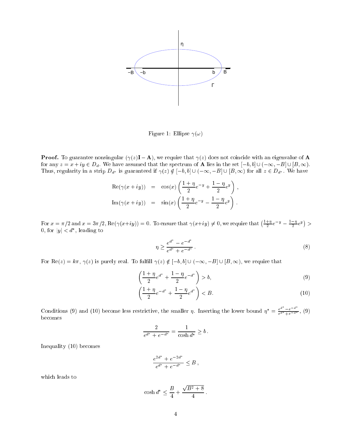

Figure 1: Ellipse (!)

**Proof.** To guarantee nonsingular  $(\gamma(z)\mathbf{I} - \mathbf{A})$ , we require that  $\gamma(z)$  does not coincide with an eigenvalue of **A** for any  $z = x + iy \in D_d$ . We have assumed that the spectrum of **A** lies in the set  $[-b, b] \cup (-\infty, -B] \cup [B, \infty)$ . Thus, regularity in a strip D  $\mu$  is guaranteed if  $\lambda(x) \neq 1$  , i.e.  $\lambda(x) \in \lambda$  , we have  $\lambda(x)$  for all  $x \in B$   $\mu$  . He have

$$
\operatorname{Re}(\gamma(x+iy)) = \cos(x)\left(\frac{1+\eta}{2}e^{-y} + \frac{1-\eta}{2}e^{y}\right),
$$
  

$$
\operatorname{Im}(\gamma(x+iy)) = \sin(x)\left(\frac{1+\eta}{2}e^{-y} - \frac{1-\eta}{2}e^{y}\right).
$$

For  $x = \pi/2$  and  $x = 3\pi/2$ , Re( $\gamma(x+iy)$ ) = 0. To ensure that  $\gamma(x+iy) \neq 0$ , we require that  $\left(\frac{1+\eta}{2}e^{-y} - \frac{1-\eta}{2}e^{y}\right)$ <sup>&</sup>gt;  $0, 101$   $|y| \le u$ , leading to

$$
\eta \ge \frac{e^{d^*} - e^{-d^*}}{e^{d^*} + e^{-d^*}}.
$$
\n(8)

 $\mathcal{L}=\mathcal{L}$  . To function the function of the function of  $\mathcal{L}$  is purely require that  $\mathcal{L}=\mathcal{L}$ 

$$
\left(\frac{1+\eta}{2}e^{d^*} + \frac{1-\eta}{2}e^{-d^*}\right) > b,\tag{9}
$$

$$
\left(\frac{1+\eta}{2}e^{-d^*} + \frac{1-\eta}{2}e^{d^*}\right) < B. \tag{10}
$$

Conditions (9) and (10) become less restrictive, the smaller  $\eta$ . Inserting the lower bound  $\eta^* = \frac{e^{a^*} - e^{-a^*}}{e^{a^*} + e^{-a^*}}$ , (9)

$$
\frac{2}{e^{d^*} + e^{-d^*}} = \frac{1}{\cosh d^*} \ge b \, .
$$

In the complex of the complex of the complex of the complex of the complex of the complex of the complex of the complex of the complex of the complex of the complex of the complex of the complex of the complex of the comp

$$
\frac{e^{2d^*} + e^{-2d^*}}{e^{d^*} + e^{-d^*}} \leq B,
$$

$$
\cosh d^* \le \frac{B}{4} + \frac{\sqrt{B^2 + 8}}{4}.
$$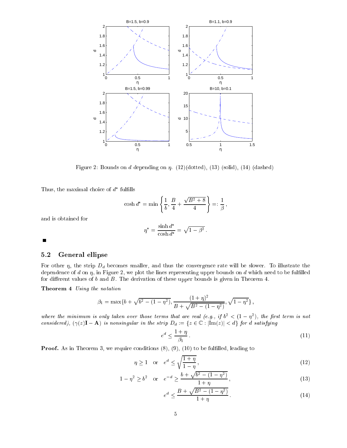

Figure 2: Bounds on d depending on  $\eta$ . (12)(dotted), (13) (solid), (14) (dashed)

 $\texttt{I}$  mus, the maximal choice of  $\alpha$  fulling

$$
\cosh d^* = \min \left\{ \frac{1}{b}, \frac{B}{4} + \frac{\sqrt{B^2 + 8}}{4} \right\} =: \frac{1}{\beta},
$$

and is obtained for

$$
\eta^* = \frac{\sinh d^*}{\cosh d^*} = \sqrt{1 - \beta^2}.
$$

 $\blacksquare$ 

#### 5.2 General ellipse

For other  $\eta$ , the strip  $D_d$  becomes smaller, and thus the convergence rate will be slower. To illustrate the dependence of  $d$  on  $\eta$ , in Figure 2, we plot the lines representing upper bounds on  $d$  which need to be fulfilled for different values of  $b$  and  $B$ . The derivation of these upper bounds is given in Theorem 4.

Theorem 4 Using the notation

$$
\beta_1 = \max\{b + \sqrt{b^2 - (1 - \eta^2)}, \frac{(1 + \eta)^2}{B + \sqrt{B^2 - (1 - \eta^2)}}, \sqrt{1 - \eta^2}\},\
$$

where the minimum is only taken over those terms that are real (e.g., if  $0^- \leq$  (1  $-$  11), the first term is not considered),  $(\gamma(z)\mathbf{I}-\mathbf{A})$  is nonsingular in the strip  $D_d := \{z \in \mathbb{C} : |\text{Im}(z)| < d\}$  for d satisfying

$$
e^d \le \frac{1+\eta}{\beta_1} \,. \tag{11}
$$

**Proof.** As in Theorem 3, we require conditions  $(8)$ ,  $(9)$ ,  $(10)$  to be fulfilled, leading to

$$
\eta \ge 1 \quad \text{or} \quad e^d \le \sqrt{\frac{1+\eta}{1-\eta}}\,,\tag{12}
$$

$$
1 - \eta^2 \ge b^2 \quad \text{or} \quad e^{-d} \ge \frac{b + \sqrt{b^2 - (1 - \eta^2)}}{1 + \eta},\tag{13}
$$

$$
e^d \le \frac{B + \sqrt{B^2 - (1 - \eta^2)}}{1 + \eta}.
$$
\n(14)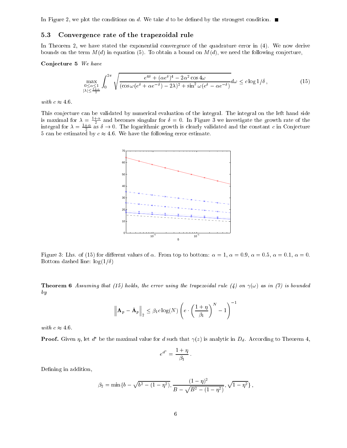In Figure 2, we plot the conditions on d. We take d to be defined by the strongest condition.  $\blacksquare$ 

#### 5.3Convergence rate of the trapezoidal rule

In Theorem 2, we have stated the exponential convergence of the quadrature error in (4). We now derive bounds on the term  $M(d)$  in equation (5). To obtain a bound on  $M(d)$ , we need the following conjecture,

#### Conjecture 5 We have

$$
\max_{\substack{0 \le \alpha \le 1 \\ |\lambda| \le \frac{1+\alpha}{2}}} \int_0^{2\pi} \sqrt{\frac{e^{4\delta} + (\alpha e^{\delta})^4 - 2\alpha^2 \cos 4\omega}{(\cos \omega (e^{\delta} + \alpha e^{-\delta}) - 2\lambda)^2 + \sin^2 \omega (e^{\delta} - \alpha e^{-\delta})}} d\omega \le c \log 1/\delta,
$$
\n(15)

with  $c \approx 4.6$ .

This conjecture can be validated by numerical evaluation of the integral. The integral on the left hand side is maximal for  $\lambda = \frac{2+1}{2}$  and becomes singular for  $\delta = 0$ . In Figure 3 we investigate the growth rate of the integral for  $\lambda = \frac{2+1}{2}$  as  $\delta \to 0$ . The logarithmic growth is clearly validated and the constant c in Conjecture 5 can be estimated by  $c \approx 4.6$ . We have the following error estimate.



Figure 3: Lhs. of (15) for different values of  $\alpha$ . From top to bottom:  $\alpha = 1$ ,  $\alpha = 0.9$ ,  $\alpha = 0.5$ ,  $\alpha = 0.1$ ,  $\alpha = 0$ . Bottom dashed line:  $\log(1/\delta)$ 

**Theorem 6** Assuming that (15) holds, the error using the trapezoidal rule (4) on  $\gamma(\omega)$  as in (7) is bounded by

$$
\left\| \mathbf{A}_p - \tilde{\mathbf{A}}_p \right\|_2 \leq \beta_1 c \log(N) \left( e \cdot \left( \frac{1 + \eta}{\beta_1} \right)^N - 1 \right)^{-1}
$$

with  $c \approx 4.6$ .

**Proof.** Given  $\eta$ , let  $d^*$  be the maximal value for d such that  $\gamma(z)$  is analytic in  $D_d$ . According to Theorem 4,

$$
e^{d^*} = \frac{1+\eta}{\beta_1}.
$$

Defining in addition,

$$
\beta_2 = \min\{b - \sqrt{b^2 - (1 - \eta^2)}, \frac{(1 - \eta)^2}{B - \sqrt{B^2 - (1 - \eta^2)}}, \sqrt{1 - \eta^2}\},\
$$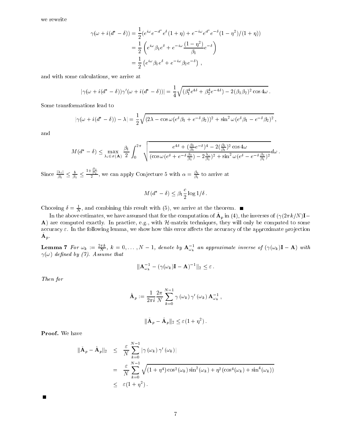$$
\gamma(\omega + i(d^* - \delta)) = \frac{1}{2} (e^{i\omega} e^{-d^*} e^{\delta} (1 + \eta) + e^{-i\omega} e^{d^*} e^{-\delta} (1 - \eta^2) / (1 + \eta))
$$
  
=  $\frac{1}{2} \left( e^{i\omega} \beta_1 e^{\delta} + e^{-i\omega} \frac{(1 - \eta^2)}{\beta_1} e^{-\delta} \right)$   
=  $\frac{1}{2} (e^{i\omega} \beta_1 e^{\delta} + e^{-i\omega} \beta_2 e^{-\delta})$ ,

and with some calculations, we are at the some calculations, we are at the some calculations, we are at the so

$$
|\gamma(\omega + i(d^* - \delta))\gamma'(\omega + i(d^* - \delta))| = \frac{1}{4}\sqrt{(\beta_1^4 e^{4\delta} + \beta_2^4 e^{-4\delta}) - 2(\beta_1 \beta_2)^2 \cos 4\omega}.
$$

$$
|\gamma(\omega + i(d^* - \delta)) - \lambda| = \frac{1}{2}\sqrt{(2\lambda - \cos\omega(e^{\delta}\beta_1 + e^{-\delta}\beta_2))^2 + \sin^2\omega(e^{\delta}\beta_1 - e^{-\delta}\beta_2)^2},
$$

and

$$
M(d^* - \delta) \le \max_{\lambda_i \in \sigma(\mathbf{A})} \frac{\beta_1}{2} \int_0^{2\pi} \sqrt{\frac{e^{4\delta} + (\frac{\beta_2}{\beta_1}e^{-\delta})^4 - 2(\frac{\beta_2}{\beta_1})^2 \cos 4\omega}{(\cos \omega (e^{\delta} + e^{-\delta \frac{\beta_2}{\beta_1}}) - 2\frac{\lambda_i}{\beta_1})^2 + \sin^2 \omega (e^{\delta} - e^{-\delta \frac{\beta_2}{\beta_1}})^2}} d\omega.
$$

Since  $\frac{\pi}{\beta_1} \leq \frac{\pi}{\beta_1} \leq$  $\frac{1+\frac{22}{\beta_1}}{2}$ , we can apply Conjecture 5 with  $\alpha = \frac{\beta_2}{\beta_1}$  to arrive at

$$
M(d^* - \delta) \leq \beta_1 \frac{c}{2} \log 1/\delta.
$$

Choosing  $\delta = \frac{1}{N}$ , and combining this result with (5), we arrive at the theorem.

In the above estimates, we have assumed that for the computation of  $\mathbf{A}_n$  in (4), the inverses of  $(\gamma(2\pi k/N)\mathbf{I}-$ A) are computed exactly. In practice, e.g., with  $H$ -matrix techniques, they will only be computed to some accuracy ". In the following lemma, we show the accuracy the accuracy of the accuracy of the approximate products  $A_{p}$ .

**Lemma 7** For  $\omega_k := \frac{2\pi k}{N}$ ,  $k = 0, \ldots, N-1$ , denote by  $A_{\omega_k}^{-1}$  an approximate inverse of  $(\gamma(\omega_k)I - A)$  with  $\gamma(\omega)$  defined by (7). Assume that

$$
\|\mathbf{A}_{\omega_k}^{-1} - (\gamma(\omega_k)\mathbf{I} - \mathbf{A})^{-1}\|_2 \leq \varepsilon.
$$

Then for

$$
\hat{\mathbf{A}}_p := \frac{1}{2\pi i} \frac{2\pi}{N} \sum_{k=0}^{N-1} \gamma(\omega_k) \gamma'(\omega_k) \mathbf{A}_{\omega_k}^{-1},
$$

$$
\|\tilde{\mathbf{A}}_p - \hat{\mathbf{A}}_p\|_2 \leq \varepsilon (1 + \eta^2).
$$

Proof. We have

$$
\|\tilde{\mathbf{A}}_p - \hat{\mathbf{A}}_p\|_2 \leq \frac{\varepsilon}{N} \sum_{k=0}^{N-1} |\gamma(\omega_k) \gamma'(\omega_k)|
$$
  
= 
$$
\frac{\varepsilon}{N} \sum_{k=0}^{N-1} \sqrt{(1 + \eta^4) \cos^2(\omega_k) \sin^2(\omega_k) + \eta^2 (\cos^4(\omega_k) + \sin^4(\omega_k))}
$$
  
\$\leq \varepsilon (1 + \eta^2).

П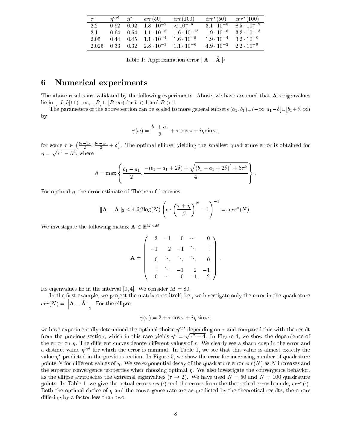| $\tau$ . | $n^{opt}$ $n^*$   |                   | err(50)                                               | err(100)                                 | $err^*(50)$         | $err^*(100)$                       |
|----------|-------------------|-------------------|-------------------------------------------------------|------------------------------------------|---------------------|------------------------------------|
| 2.2      | $0.92 \quad 0.92$ |                   | $1.8 \cdot 10^{-9}$                                   | $< 10^{-16}$                             | $3.1 \cdot 10^{-8}$ | $8.5 \cdot 10^{-19}$               |
| 2.1      |                   | $0.64$ 0.64       |                                                       | $1.1 \cdot 10^{-6}$ $1.6 \cdot 10^{-13}$ |                     | $1.9 \cdot 10^{-6}$ 3.3 $10^{-13}$ |
| 2.05     |                   |                   | $0.44$ $0.45$ $1.1 \cdot 10^{-4}$ $1.6 \cdot 10^{-9}$ |                                          | $1.9 \cdot 10^{-4}$ | $3.2 \cdot 10^{-8}$                |
| 2.025    |                   | $0.33 \quad 0.32$ | $2.8 \cdot 10^{-3}$ 1.1 $10^{-6}$                     |                                          | $4.9 \cdot 10^{-2}$ | $2.2 \cdot 10^{-6}$                |

Table 1: Approximation error  $\|\mathbf{A} - \mathbf{A}\|_2$ 

#### <sup>6</sup> Numerical experiments

The above results are validated by the following experiments. Above, we have assumed that A's eigenvalues lie in  $[-b, b] \cup (-\infty, -B] \cup [B, \infty)$  for  $b < 1$  and  $B > 1$ .

The parameters of the above section can be scaled to more general subsets  $(a_1, b_1) \cup (-\infty, a_1-\delta] \cup [b_1+\delta, \infty)$ by

$$
\gamma(\omega) = \frac{b_1 + a_1}{2} + \tau \cos \omega + i\eta \sin \omega ,
$$

for some <sup>2</sup>  $\left(\frac{b_1-a_1}{2}, \frac{b_1-a_1}{2} + \delta\right)$  $\sim$ . The optimal ellipse, yielding the smallest quadrature error is obtained for  $-1$  $\sqrt{\tau^2 - \beta^2}$ , where

$$
\beta = \max \left\{ \frac{b_1 - a_1}{2}, \frac{-(b_1 - a_1 + 2\delta) + \sqrt{(b_1 - a_1 + 2\delta)^2 + 8\tau^2}}{4} \right\}.
$$

For optimal  $\eta$ , the error estimate of Theorem 6 becomes

$$
\|\mathbf{A} - \tilde{\mathbf{A}}\|_2 \le 4.6 \beta \log(N) \left( e \cdot \left( \frac{\tau + \eta}{\beta} \right)^N - 1 \right)^{-1} =: err^*(N).
$$

We investigate the following matrix  $\mathbf{A} \in \mathbb{R}^{M \times M}$ 

–

$$
\mathbf{A} = \left( \begin{array}{cccc} 2 & -1 & 0 & \cdots & 0 \\ -1 & 2 & -1 & & \vdots \\ 0 & \ddots & \ddots & \ddots & 0 \\ \vdots & \ddots & -1 & 2 & -1 \\ 0 & \cdots & 0 & -1 & 2 \end{array} \right)
$$

Its eigenvalues lie in the interval [0, 4]. We consider  $M = 80$ .

In the first example, we project the matrix onto itself, i.e., we investigate only the error in the quadrature err(N) =  $\|\mathbf{A} - \tilde{\mathbf{A}}\|$  . For the ellipse

$$
\gamma(\omega) = 2 + \tau \cos \omega + i\eta \sin \omega ,
$$

we have experimentally determined the optimal choice  $\eta^{opt}$  depending on  $\tau$  and compared this with the result from the previous section, which in this case yields  $n^* = \sqrt{\tau^2 - 4}$ . In Figure 4, we show the dependence of the error on  $\eta$ . The different curves denote different values of  $\tau$ . We clearly see a sharp cusp in the error and a distinct value  $\eta^{opt}$  for which the error is minimal. In Table 1, we see that this value is almost exactly the value predicted in the previous section. In Figure 5, we show the error for increasing number of quadrature points N for different values of  $\eta$ . We see exponential decay of the quadrature error  $err(N)$  as N increases and the superior convergence properties when choosing optimal  $\eta$ . We also investigate the convergence behavior, as the ellipse approaches the extremal eigenvalues ( $\tau \to 2$ ). We have used  $N = 50$  and  $N = 100$  quadrature points. In Table 1, we give the actual errors  $err()$  and the errors from the theoretical error bounds,  $err()$ . Both the optimal choice of  $\eta$  and the convergence rate are as predicted by the theoretical results, the errors differing by a factor less than two.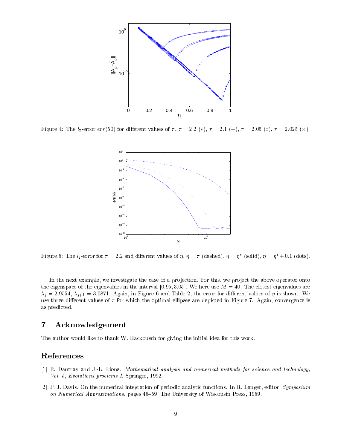

Figure 4: The l2-error err(50) for dierent values of . = 2:2 (), = 2:1 (+), = 2:05 (), = 2:025 (-).



Figure 5: The  $i_2$ -error for  $\tau = 2.2$  and different values of  $\eta$ ,  $\eta = \tau$  (dashed),  $\eta = \eta$  (solid),  $\eta = \eta$  +0.1 (dots).

In the next example, we investigate the case of a projection. For this, we project the above operator onto the eigenspace of the eigenvalues in the interval [0.95, 3.05]. We here use  $M = 40$ . The closest eigenvalues are  $\lambda_i = 2.9554, \lambda_{i+1} = 3.0871.$  Again, in Figure 6 and Table 2, the error for different values of  $\eta$  is shown. We use three different values of  $\tau$  for which the optimal ellipses are depicted in Figure 7. Again, convergence is as predicted.

#### **Acknowledgement**  $\overline{7}$

The author would like to thank W. Hackbusch for giving the initial idea for this work.

### References

- [1] R. Dautray and J.-L. Lions. Mathematical analysis and numerical methods for science and technology, Vol. 5, Evolutions problems I. Springer, 1992.
- [2] P. J. Davis. On the numerical integration of periodic analytic functions. In R. Langer, editor, Symposium on Numerical Approximations, pages 45-59. The University of Wisconsin Press, 1959.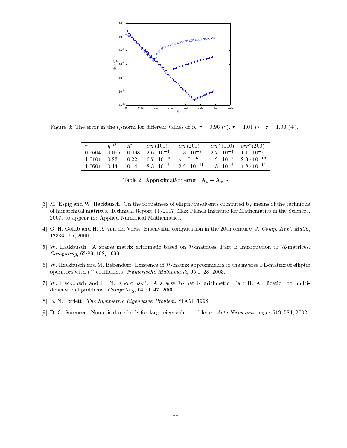

Figure 6: The error in the  $l_2$ -norm for different values of  $\eta$ .  $\tau = 0.96$  ( $\circ$ ),  $\tau = 1.01$  (\*),  $\tau = 1.06$  (+).

| $\tau$                   | $n^{\circ pt}$ | $n^*$ | err(100)             | err(200)             | $err^*(100)$ $err^*(200)$         |                      |
|--------------------------|----------------|-------|----------------------|----------------------|-----------------------------------|----------------------|
| $0.9604$ $0.095$ $0.098$ |                |       | $2.6 \cdot 10^{-4}$  | $1.3 \cdot 10^{-8}$  | $2.7 \cdot 10^{-4}$ 1.1 $10^{-8}$ |                      |
| 1.0104 0.23              |                | 0.22  | $6.7 \cdot 10^{-10}$ | $< 10^{-16}$         | $1.2 \cdot 10^{-9}$               | $2.3 \cdot 10^{-19}$ |
| 1.0604 0.14              |                | 0.14  | $8.3 \cdot 10^{-6}$  | $2.2 \cdot 10^{-11}$ | $1.8 \cdot 10^{-5}$               | $4.8 \cdot 10^{-11}$ |

Table 2: Approximation error  $\|\mathbf{A}_p - \mathbf{A}_p\|_2$ 

- [3] M. Espig and W. Hackbusch. On the robustness of elliptic resolvents computed by means of the technique of hierarchical matrices. Technical Report 11/2007, Max Planck Institute for Mathematics in the Sciences, 2007. to appear in: Applied Numerical Mathematics.
- [4] G. H. Golub and H. A. van der Vorst. Eigenvalue computation in the 20th century. J. Comp. Appl. Math., 123:35{65, 2000.
- [5] W. Hackbusch. A sparse matrix arithmetic based on H-matrices. Part I: Introduction to H-matrices.  $Computing, 62:89–108, 1999.$
- [6] W. Hackbusch and M. Bebendorf. Existence of H-matrix approximants to the inverse FE-matrix of elliptic operators with  $l^{\infty}$ -coefficients. Numerische Mathematik, 95:1-28, 2003.
- [7] W. Hackbusch and B. N. Khoromskij. A sparse H-matrix arithmetic. Part II: Application to multidimensional problems.  $Computing$ , 64:21-47, 2000.
- [8] B. N. Parlett. The Symmetric Eigenvalue Problem. SIAM, 1998.
- [9] D. C. Sorensen. Numerical methods for large eigenvalue problems. Acta Numerica, pages 519–584, 2002.